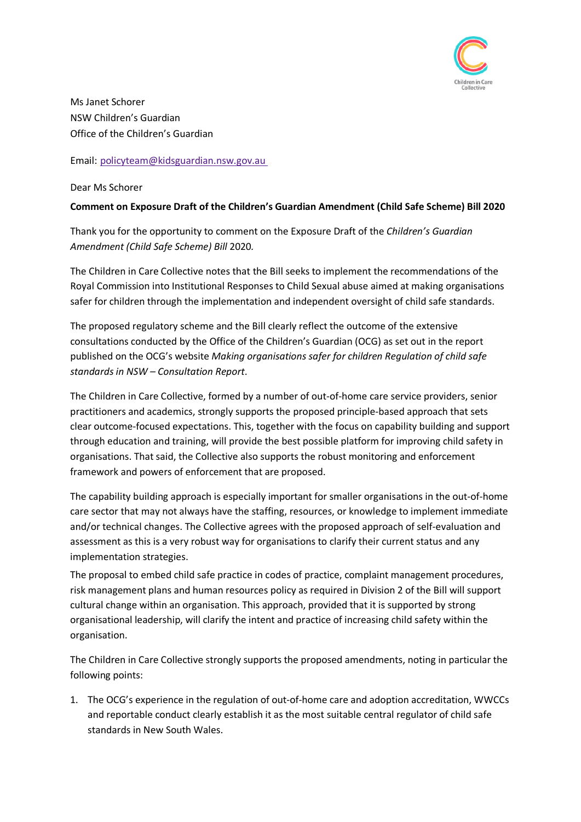

Ms Janet Schorer NSW Children's Guardian Office of the Children's Guardian

Email: [policyteam@kidsguardian.nsw.gov.au](mailto:policyteam@kidsguardian.nsw.gov.au)

Dear Ms Schorer

## **Comment on Exposure Draft of the Children's Guardian Amendment (Child Safe Scheme) Bill 2020**

Thank you for the opportunity to comment on the Exposure Draft of the *Children's Guardian Amendment (Child Safe Scheme) Bill* 2020*.* 

The Children in Care Collective notes that the Bill seeks to implement the recommendations of the Royal Commission into Institutional Responses to Child Sexual abuse aimed at making organisations safer for children through the implementation and independent oversight of child safe standards.

The proposed regulatory scheme and the Bill clearly reflect the outcome of the extensive consultations conducted by the Office of the Children's Guardian (OCG) as set out in the report published on the OCG's website *Making organisations safer for children Regulation of child safe standards in NSW – Consultation Report*.

The Children in Care Collective, formed by a number of out-of-home care service providers, senior practitioners and academics, strongly supports the proposed principle-based approach that sets clear outcome-focused expectations. This, together with the focus on capability building and support through education and training, will provide the best possible platform for improving child safety in organisations. That said, the Collective also supports the robust monitoring and enforcement framework and powers of enforcement that are proposed.

The capability building approach is especially important for smaller organisations in the out-of-home care sector that may not always have the staffing, resources, or knowledge to implement immediate and/or technical changes. The Collective agrees with the proposed approach of self-evaluation and assessment as this is a very robust way for organisations to clarify their current status and any implementation strategies.

The proposal to embed child safe practice in codes of practice, complaint management procedures, risk management plans and human resources policy as required in Division 2 of the Bill will support cultural change within an organisation. This approach, provided that it is supported by strong organisational leadership, will clarify the intent and practice of increasing child safety within the organisation.

The Children in Care Collective strongly supports the proposed amendments, noting in particular the following points:

1. The OCG's experience in the regulation of out-of-home care and adoption accreditation, WWCCs and reportable conduct clearly establish it as the most suitable central regulator of child safe standards in New South Wales.